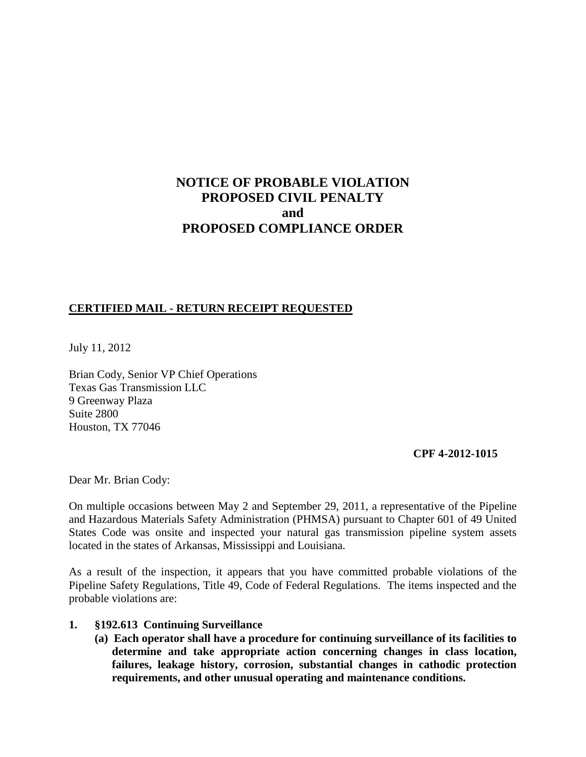# **NOTICE OF PROBABLE VIOLATION PROPOSED CIVIL PENALTY and PROPOSED COMPLIANCE ORDER**

### **CERTIFIED MAIL - RETURN RECEIPT REQUESTED**

July 11, 2012

Brian Cody, Senior VP Chief Operations Texas Gas Transmission LLC 9 Greenway Plaza Suite 2800 Houston, TX 77046

#### **CPF 4-2012-1015**

Dear Mr. Brian Cody:

On multiple occasions between May 2 and September 29, 2011, a representative of the Pipeline and Hazardous Materials Safety Administration (PHMSA) pursuant to Chapter 601 of 49 United States Code was onsite and inspected your natural gas transmission pipeline system assets located in the states of Arkansas, Mississippi and Louisiana.

As a result of the inspection, it appears that you have committed probable violations of the Pipeline Safety Regulations, Title 49, Code of Federal Regulations. The items inspected and the probable violations are:

### **1. §192.613 Continuing Surveillance**

**(a) Each operator shall have a procedure for continuing surveillance of its facilities to determine and take appropriate action concerning changes in class location, failures, leakage history, corrosion, substantial changes in cathodic protection requirements, and other unusual operating and maintenance conditions.**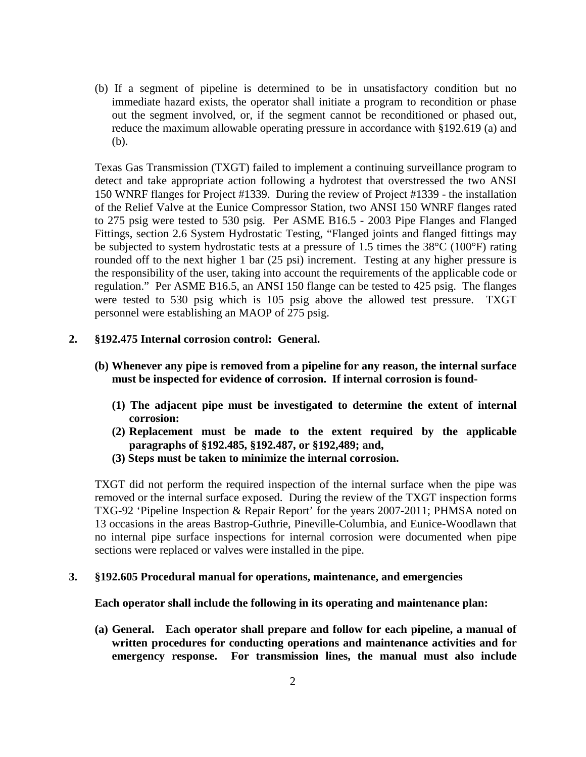(b) If a segment of pipeline is determined to be in unsatisfactory condition but no immediate hazard exists, the operator shall initiate a program to recondition or phase out the segment involved, or, if the segment cannot be reconditioned or phased out, reduce the maximum allowable operating pressure in accordance with §192.619 (a) and (b).

Texas Gas Transmission (TXGT) failed to implement a continuing surveillance program to detect and take appropriate action following a hydrotest that overstressed the two ANSI 150 WNRF flanges for Project #1339. During the review of Project #1339 - the installation of the Relief Valve at the Eunice Compressor Station, two ANSI 150 WNRF flanges rated to 275 psig were tested to 530 psig. Per ASME B16.5 - 2003 Pipe Flanges and Flanged Fittings, section 2.6 System Hydrostatic Testing, "Flanged joints and flanged fittings may be subjected to system hydrostatic tests at a pressure of 1.5 times the 38°C (100°F) rating rounded off to the next higher 1 bar (25 psi) increment. Testing at any higher pressure is the responsibility of the user, taking into account the requirements of the applicable code or regulation." Per ASME B16.5, an ANSI 150 flange can be tested to 425 psig. The flanges were tested to 530 psig which is 105 psig above the allowed test pressure. TXGT personnel were establishing an MAOP of 275 psig.

#### **2. §192.475 Internal corrosion control: General.**

- **(b) Whenever any pipe is removed from a pipeline for any reason, the internal surface must be inspected for evidence of corrosion. If internal corrosion is found-**
	- **(1) The adjacent pipe must be investigated to determine the extent of internal corrosion:**
	- **(2) Replacement must be made to the extent required by the applicable paragraphs of §192.485, §192.487, or §192,489; and,**
	- **(3) Steps must be taken to minimize the internal corrosion.**

TXGT did not perform the required inspection of the internal surface when the pipe was removed or the internal surface exposed. During the review of the TXGT inspection forms TXG-92 'Pipeline Inspection & Repair Report' for the years 2007-2011; PHMSA noted on 13 occasions in the areas Bastrop-Guthrie, Pineville-Columbia, and Eunice-Woodlawn that no internal pipe surface inspections for internal corrosion were documented when pipe sections were replaced or valves were installed in the pipe.

#### **3. §192.605 Procedural manual for operations, maintenance, and emergencies**

#### **Each operator shall include the following in its operating and maintenance plan:**

**(a) General. Each operator shall prepare and follow for each pipeline, a manual of written procedures for conducting operations and maintenance activities and for emergency response. For transmission lines, the manual must also include**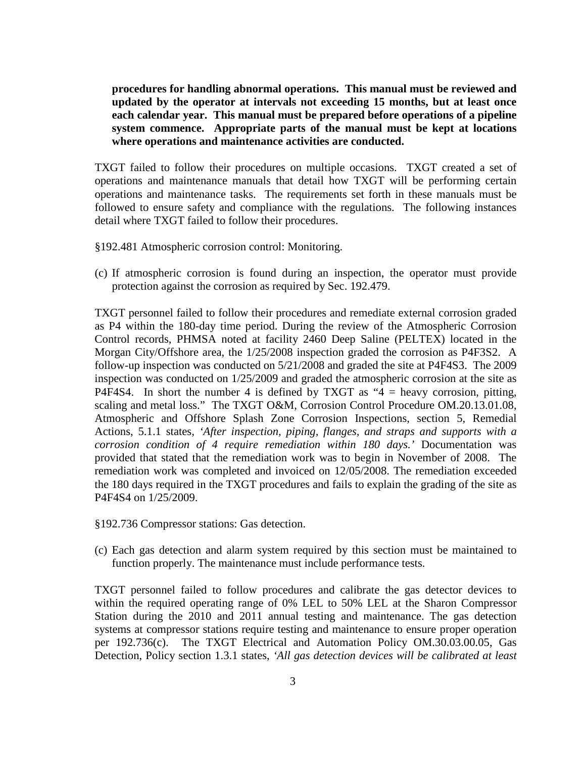**procedures for handling abnormal operations. This manual must be reviewed and updated by the operator at intervals not exceeding 15 months, but at least once each calendar year. This manual must be prepared before operations of a pipeline system commence. Appropriate parts of the manual must be kept at locations where operations and maintenance activities are conducted.**

TXGT failed to follow their procedures on multiple occasions. TXGT created a set of operations and maintenance manuals that detail how TXGT will be performing certain operations and maintenance tasks. The requirements set forth in these manuals must be followed to ensure safety and compliance with the regulations. The following instances detail where TXGT failed to follow their procedures.

- §192.481 Atmospheric corrosion control: Monitoring.
- (c) If atmospheric corrosion is found during an inspection, the operator must provide protection against the corrosion as required by Sec. 192.479.

TXGT personnel failed to follow their procedures and remediate external corrosion graded as P4 within the 180-day time period. During the review of the Atmospheric Corrosion Control records, PHMSA noted at facility 2460 Deep Saline (PELTEX) located in the Morgan City/Offshore area, the 1/25/2008 inspection graded the corrosion as P4F3S2. A follow-up inspection was conducted on 5/21/2008 and graded the site at P4F4S3. The 2009 inspection was conducted on 1/25/2009 and graded the atmospheric corrosion at the site as P4F4S4. In short the number 4 is defined by TXGT as " $4$  = heavy corrosion, pitting, scaling and metal loss." The TXGT O&M, Corrosion Control Procedure OM.20.13.01.08, Atmospheric and Offshore Splash Zone Corrosion Inspections, section 5, Remedial Actions, 5.1.1 states*, 'After inspection, piping, flanges, and straps and supports with a corrosion condition of 4 require remediation within 180 days.'* Documentation was provided that stated that the remediation work was to begin in November of 2008. The remediation work was completed and invoiced on 12/05/2008. The remediation exceeded the 180 days required in the TXGT procedures and fails to explain the grading of the site as P4F4S4 on 1/25/2009.

- §192.736 Compressor stations: Gas detection.
- (c) Each gas detection and alarm system required by this section must be maintained to function properly. The maintenance must include performance tests.

TXGT personnel failed to follow procedures and calibrate the gas detector devices to within the required operating range of 0% LEL to 50% LEL at the Sharon Compressor Station during the 2010 and 2011 annual testing and maintenance. The gas detection systems at compressor stations require testing and maintenance to ensure proper operation per 192.736(c). The TXGT Electrical and Automation Policy OM.30.03.00.05, Gas Detection, Policy section 1.3.1 states, *'All gas detection devices will be calibrated at least*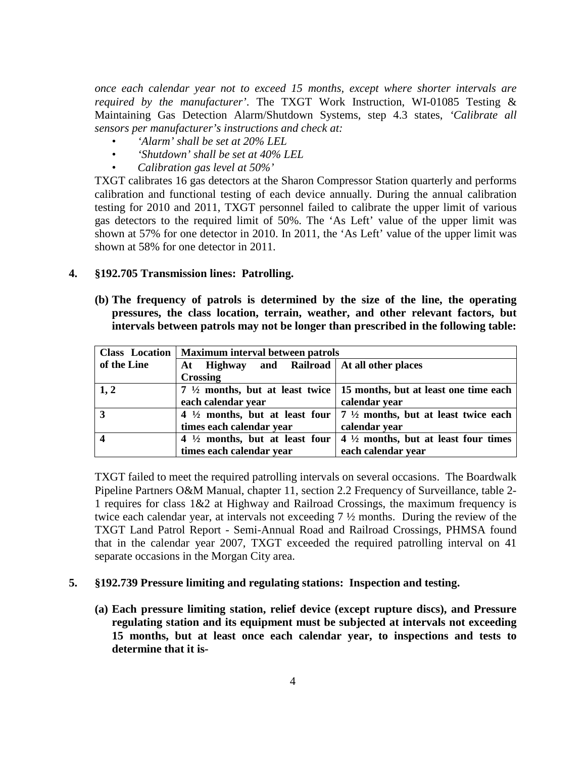*once each calendar year not to exceed 15 months, except where shorter intervals are required by the manufacturer'*. The TXGT Work Instruction, WI-01085 Testing & Maintaining Gas Detection Alarm/Shutdown Systems, step 4.3 states, *'Calibrate all sensors per manufacturer's instructions and check at:*

- *'Alarm' shall be set at 20% LEL*
- *'Shutdown' shall be set at 40% LEL*
- *Calibration gas level at 50%'*

TXGT calibrates 16 gas detectors at the Sharon Compressor Station quarterly and performs calibration and functional testing of each device annually. During the annual calibration testing for 2010 and 2011, TXGT personnel failed to calibrate the upper limit of various gas detectors to the required limit of 50%. The 'As Left' value of the upper limit was shown at 57% for one detector in 2010. In 2011, the 'As Left' value of the upper limit was shown at 58% for one detector in 2011.

#### **4. §192.705 Transmission lines: Patrolling.**

**(b) The frequency of patrols is determined by the size of the line, the operating pressures, the class location, terrain, weather, and other relevant factors, but intervals between patrols may not be longer than prescribed in the following table:**

|                         | Class Location   Maximum interval between patrols |                                                                                                                    |
|-------------------------|---------------------------------------------------|--------------------------------------------------------------------------------------------------------------------|
| of the Line             | Highway and Railroad   At all other places<br>At  |                                                                                                                    |
|                         | <b>Crossing</b>                                   |                                                                                                                    |
| 1, 2                    |                                                   | 7 $\frac{1}{2}$ months, but at least twice   15 months, but at least one time each                                 |
|                         | each calendar year                                | calendar year                                                                                                      |
| $\vert 3$               |                                                   | 4 $\frac{1}{2}$ months, but at least four $\left(7\frac{1}{2}\right)$ months, but at least twice each              |
|                         | times each calendar year                          | calendar year                                                                                                      |
| $\overline{\mathbf{4}}$ |                                                   | 4 $\frac{1}{2}$ months, but at least four $\left  \frac{4 \frac{1}{2}}{2} \right $ months, but at least four times |
|                         | times each calendar year                          | each calendar year                                                                                                 |

TXGT failed to meet the required patrolling intervals on several occasions. The Boardwalk Pipeline Partners O&M Manual, chapter 11, section 2.2 Frequency of Surveillance, table 2- 1 requires for class 1&2 at Highway and Railroad Crossings, the maximum frequency is twice each calendar year, at intervals not exceeding 7 ½ months. During the review of the TXGT Land Patrol Report - Semi-Annual Road and Railroad Crossings, PHMSA found that in the calendar year 2007, TXGT exceeded the required patrolling interval on 41 separate occasions in the Morgan City area.

#### **5. §192.739 Pressure limiting and regulating stations: Inspection and testing.**

**(a) Each pressure limiting station, relief device (except rupture discs), and Pressure regulating station and its equipment must be subjected at intervals not exceeding 15 months, but at least once each calendar year, to inspections and tests to determine that it is-**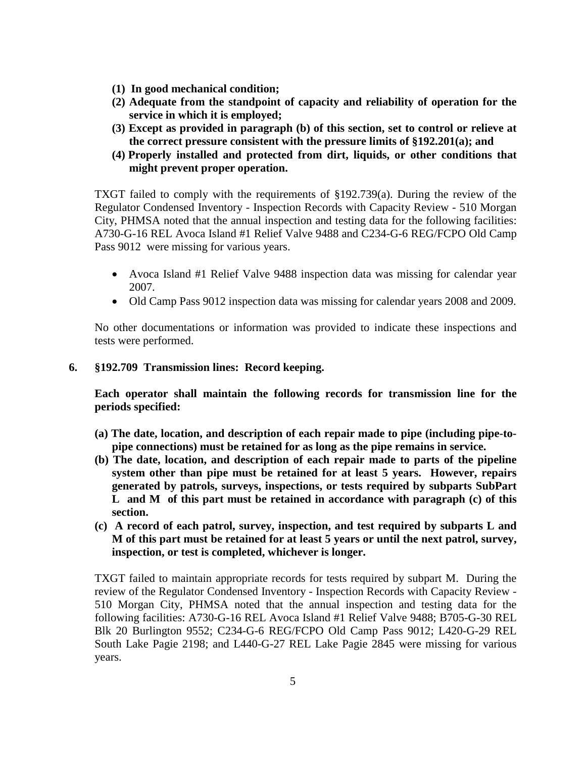- **(1) In good mechanical condition;**
- **(2) Adequate from the standpoint of capacity and reliability of operation for the service in which it is employed;**
- **(3) Except as provided in paragraph (b) of this section, set to control or relieve at the correct pressure consistent with the pressure limits of §192.201(a); and**
- **(4) Properly installed and protected from dirt, liquids, or other conditions that might prevent proper operation.**

TXGT failed to comply with the requirements of §192.739(a). During the review of the Regulator Condensed Inventory - Inspection Records with Capacity Review - 510 Morgan City, PHMSA noted that the annual inspection and testing data for the following facilities: A730-G-16 REL Avoca Island #1 Relief Valve 9488 and C234-G-6 REG/FCPO Old Camp Pass 9012 were missing for various years.

- Avoca Island #1 Relief Valve 9488 inspection data was missing for calendar year 2007.
- Old Camp Pass 9012 inspection data was missing for calendar years 2008 and 2009.

No other documentations or information was provided to indicate these inspections and tests were performed.

### **6. §192.709 Transmission lines: Record keeping.**

**Each operator shall maintain the following records for transmission line for the periods specified:**

- **(a) The date, location, and description of each repair made to pipe (including pipe-topipe connections) must be retained for as long as the pipe remains in service.**
- **(b) The date, location, and description of each repair made to parts of the pipeline system other than pipe must be retained for at least 5 years. However, repairs generated by patrols, surveys, inspections, or tests required by subparts SubPart L and M of this part must be retained in accordance with paragraph (c) of this section.**
- **(c) A record of each patrol, survey, inspection, and test required by subparts L and M of this part must be retained for at least 5 years or until the next patrol, survey, inspection, or test is completed, whichever is longer.**

TXGT failed to maintain appropriate records for tests required by subpart M. During the review of the Regulator Condensed Inventory - Inspection Records with Capacity Review - 510 Morgan City, PHMSA noted that the annual inspection and testing data for the following facilities: A730-G-16 REL Avoca Island #1 Relief Valve 9488; B705-G-30 REL Blk 20 Burlington 9552; C234-G-6 REG/FCPO Old Camp Pass 9012; L420-G-29 REL South Lake Pagie 2198; and L440-G-27 REL Lake Pagie 2845 were missing for various years.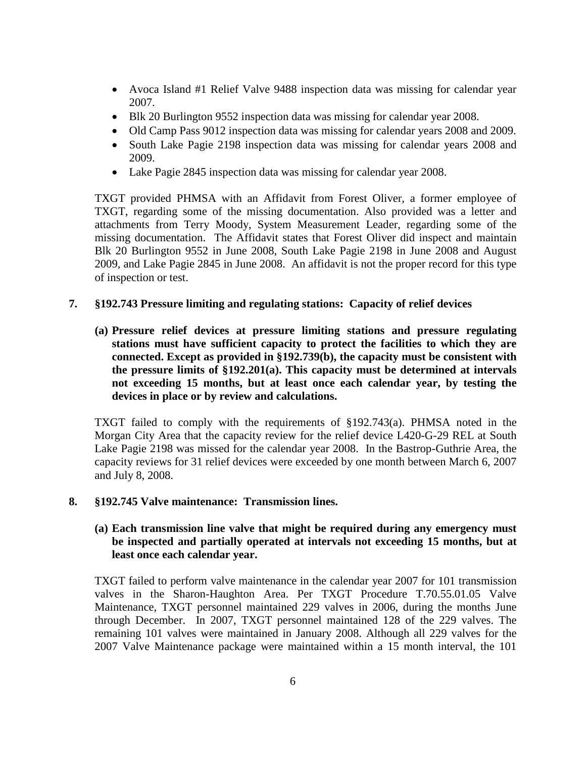- Avoca Island #1 Relief Valve 9488 inspection data was missing for calendar year 2007.
- Blk 20 Burlington 9552 inspection data was missing for calendar year 2008.
- Old Camp Pass 9012 inspection data was missing for calendar years 2008 and 2009.
- South Lake Pagie 2198 inspection data was missing for calendar years 2008 and 2009.
- Lake Pagie 2845 inspection data was missing for calendar year 2008.

TXGT provided PHMSA with an Affidavit from Forest Oliver, a former employee of TXGT, regarding some of the missing documentation. Also provided was a letter and attachments from Terry Moody, System Measurement Leader, regarding some of the missing documentation. The Affidavit states that Forest Oliver did inspect and maintain Blk 20 Burlington 9552 in June 2008, South Lake Pagie 2198 in June 2008 and August 2009, and Lake Pagie 2845 in June 2008. An affidavit is not the proper record for this type of inspection or test.

### **7. §192.743 Pressure limiting and regulating stations: Capacity of relief devices**

**(a) Pressure relief devices at pressure limiting stations and pressure regulating stations must have sufficient capacity to protect the facilities to which they are connected. Except as provided in §192.739(b), the capacity must be consistent with the pressure limits of §192.201(a). This capacity must be determined at intervals not exceeding 15 months, but at least once each calendar year, by testing the devices in place or by review and calculations.**

TXGT failed to comply with the requirements of §192.743(a). PHMSA noted in the Morgan City Area that the capacity review for the relief device L420-G-29 REL at South Lake Pagie 2198 was missed for the calendar year 2008. In the Bastrop-Guthrie Area, the capacity reviews for 31 relief devices were exceeded by one month between March 6, 2007 and July 8, 2008.

### **8. §192.745 Valve maintenance: Transmission lines.**

### **(a) Each transmission line valve that might be required during any emergency must be inspected and partially operated at intervals not exceeding 15 months, but at least once each calendar year.**

TXGT failed to perform valve maintenance in the calendar year 2007 for 101 transmission valves in the Sharon-Haughton Area. Per TXGT Procedure T.70.55.01.05 Valve Maintenance, TXGT personnel maintained 229 valves in 2006, during the months June through December. In 2007, TXGT personnel maintained 128 of the 229 valves. The remaining 101 valves were maintained in January 2008. Although all 229 valves for the 2007 Valve Maintenance package were maintained within a 15 month interval, the 101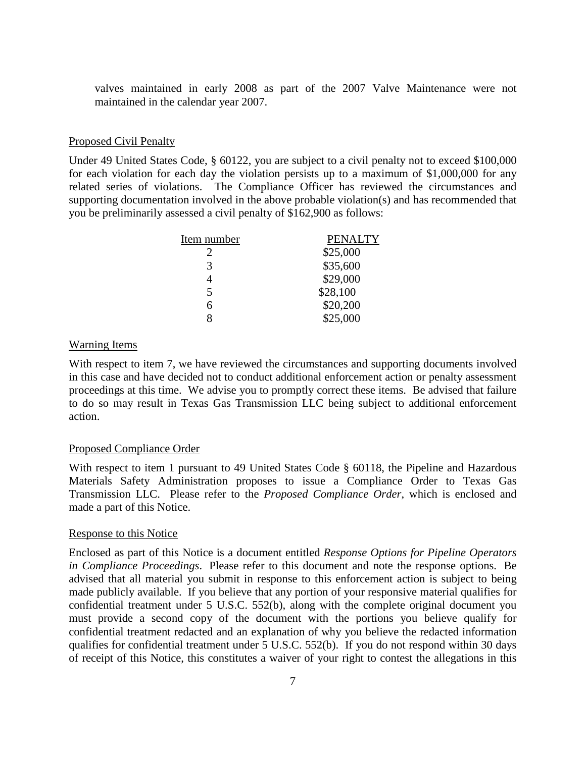valves maintained in early 2008 as part of the 2007 Valve Maintenance were not maintained in the calendar year 2007.

#### Proposed Civil Penalty

Under 49 United States Code, § 60122, you are subject to a civil penalty not to exceed \$100,000 for each violation for each day the violation persists up to a maximum of \$1,000,000 for any related series of violations. The Compliance Officer has reviewed the circumstances and supporting documentation involved in the above probable violation(s) and has recommended that you be preliminarily assessed a civil penalty of \$162,900 as follows:

| Item number              | <b>PENALTY</b> |
|--------------------------|----------------|
| 2                        | \$25,000       |
| 3                        | \$35,600       |
|                          | \$29,000       |
| $\overline{\phantom{0}}$ | \$28,100       |
| 6                        | \$20,200       |
| g                        | \$25,000       |

#### Warning Items

With respect to item 7, we have reviewed the circumstances and supporting documents involved in this case and have decided not to conduct additional enforcement action or penalty assessment proceedings at this time. We advise you to promptly correct these items. Be advised that failure to do so may result in Texas Gas Transmission LLC being subject to additional enforcement action.

#### Proposed Compliance Order

With respect to item 1 pursuant to 49 United States Code § 60118, the Pipeline and Hazardous Materials Safety Administration proposes to issue a Compliance Order to Texas Gas Transmission LLC. Please refer to the *Proposed Compliance Order*, which is enclosed and made a part of this Notice.

#### Response to this Notice

Enclosed as part of this Notice is a document entitled *Response Options for Pipeline Operators in Compliance Proceedings*. Please refer to this document and note the response options. Be advised that all material you submit in response to this enforcement action is subject to being made publicly available. If you believe that any portion of your responsive material qualifies for confidential treatment under 5 U.S.C. 552(b), along with the complete original document you must provide a second copy of the document with the portions you believe qualify for confidential treatment redacted and an explanation of why you believe the redacted information qualifies for confidential treatment under 5 U.S.C. 552(b). If you do not respond within 30 days of receipt of this Notice, this constitutes a waiver of your right to contest the allegations in this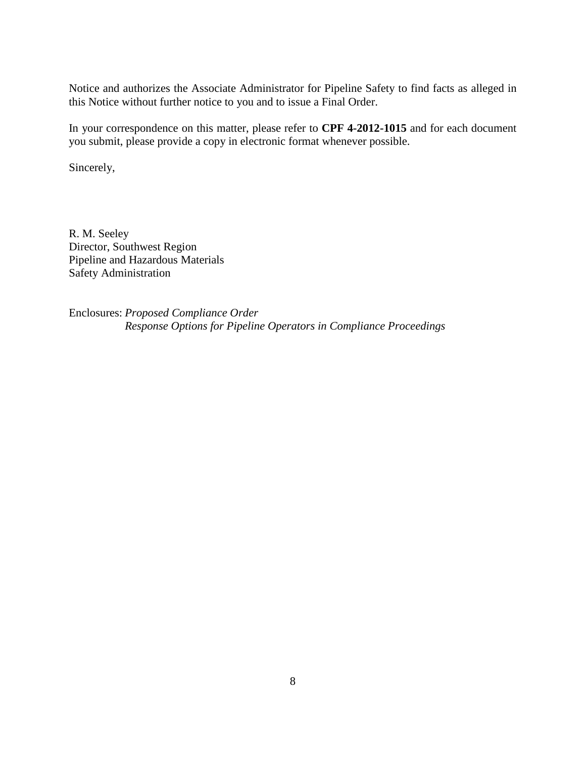Notice and authorizes the Associate Administrator for Pipeline Safety to find facts as alleged in this Notice without further notice to you and to issue a Final Order.

In your correspondence on this matter, please refer to **CPF 4-2012-1015** and for each document you submit, please provide a copy in electronic format whenever possible.

Sincerely,

R. M. Seeley Director, Southwest Region Pipeline and Hazardous Materials Safety Administration

Enclosures: *Proposed Compliance Order Response Options for Pipeline Operators in Compliance Proceedings*